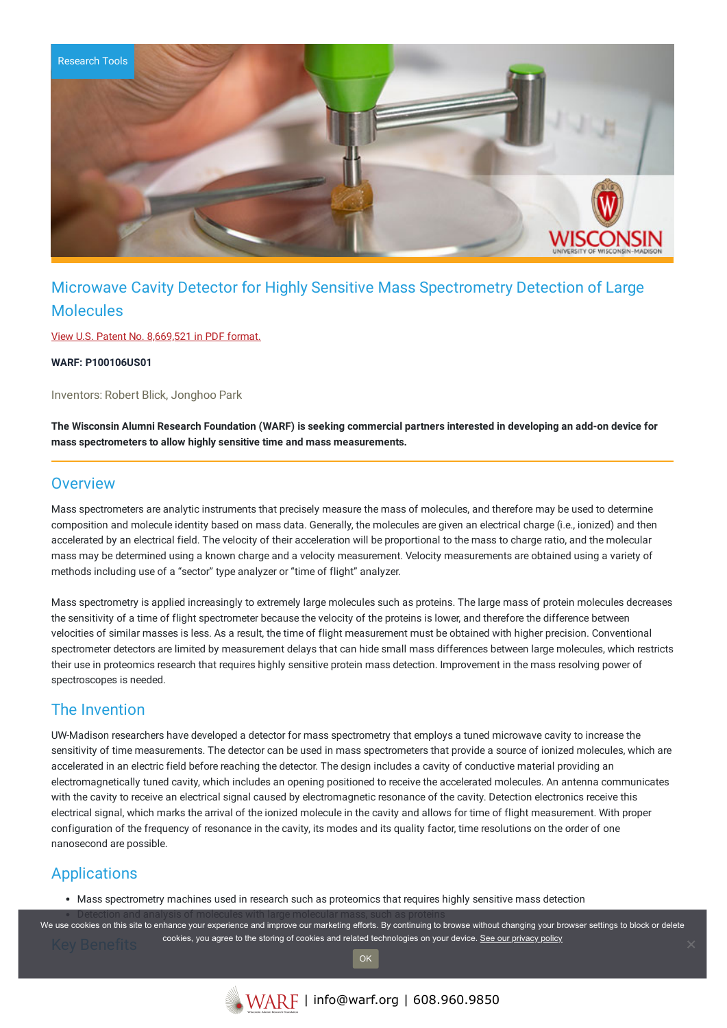

# Microwave Cavity Detector for Highly Sensitive Mass Spectrometry Detection of Large Molecules

View U.S. Patent No. [8,669,521](https://www.warf.org/wp-content/uploads/technologies/ipstatus/P100106US01.PDF) in PDF format.

**WARF: P100106US01**

Inventors: Robert Blick, Jonghoo Park

The Wisconsin Alumni Research Foundation (WARF) is seeking commercial partners interested in developing an add-on device for **mass spectrometers to allow highly sensitive time and mass measurements.**

### **Overview**

Mass spectrometers are analytic instruments that precisely measure the mass of molecules, and therefore may be used to determine composition and molecule identity based on mass data. Generally, the molecules are given an electrical charge (i.e., ionized) and then accelerated by an electrical field. The velocity of their acceleration will be proportional to the mass to charge ratio, and the molecular mass may be determined using a known charge and a velocity measurement. Velocity measurements are obtained using a variety of methods including use of a "sector" type analyzer or "time of flight" analyzer.

Mass spectrometry is applied increasingly to extremely large molecules such as proteins. The large mass of protein molecules decreases the sensitivity of a time of flight spectrometer because the velocity of the proteins is lower, and therefore the difference between velocities of similar masses is less. As a result, the time of flight measurement must be obtained with higher precision. Conventional spectrometer detectors are limited by measurement delays that can hide small mass differences between large molecules, which restricts their use in proteomics research that requires highly sensitive protein mass detection. Improvement in the mass resolving power of spectroscopes is needed.

## The Invention

UW-Madison researchers have developed a detector for mass spectrometry that employs a tuned microwave cavity to increase the sensitivity of time measurements. The detector can be used in mass spectrometers that provide a source of ionized molecules, which are accelerated in an electric field before reaching the detector. The design includes a cavity of conductive material providing an electromagnetically tuned cavity, which includes an opening positioned to receive the accelerated molecules. An antenna communicates with the cavity to receive an electrical signal caused by electromagnetic resonance of the cavity. Detection electronics receive this electrical signal, which marks the arrival of the ionized molecule in the cavity and allows for time of flight measurement. With proper configuration of the frequency of resonance in the cavity, its modes and its quality factor, time resolutions on the order of one nanosecond are possible.

## Applications

Mass spectrometry machines used in research such as proteomics that requires highly sensitive mass detection

We use cookies on this site to enhance your experience and improve our marketing efforts. By continuing to browse without changing your browser settings to block or delete cookies, you agree to the storing of cookies and related technologies on your device. [See our privacy policy](https://www.warf.org/privacy-policy/)